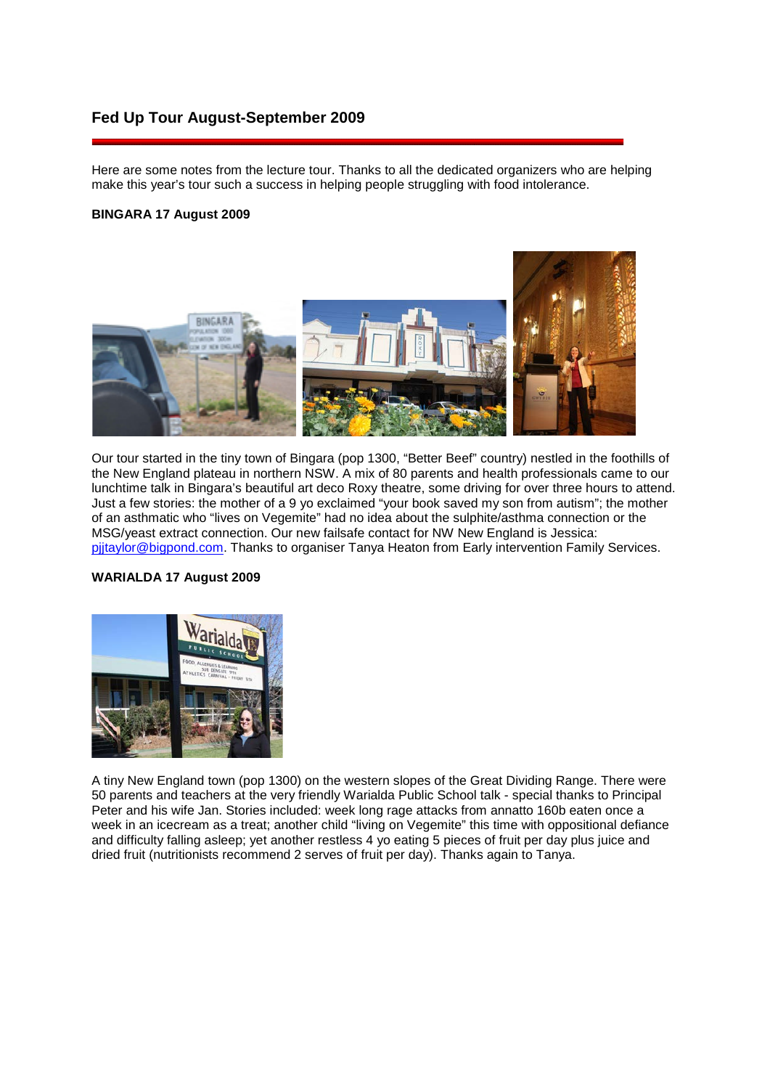# **Fed Up Tour August-September 2009**

Here are some notes from the lecture tour. Thanks to all the dedicated organizers who are helping make this year's tour such a success in helping people struggling with food intolerance.

# **BINGARA 17 August 2009**



Our tour started in the tiny town of Bingara (pop 1300, "Better Beef" country) nestled in the foothills of the New England plateau in northern NSW. A mix of 80 parents and health professionals came to our lunchtime talk in Bingara's beautiful art deco Roxy theatre, some driving for over three hours to attend. Just a few stories: the mother of a 9 yo exclaimed "your book saved my son from autism"; the mother of an asthmatic who "lives on Vegemite" had no idea about the sulphite/asthma connection or the MSG/yeast extract connection. Our new failsafe contact for NW New England is Jessica: [pjjtaylor@bigpond.com.](mailto:pjjtaylor@bigpond.com) Thanks to organiser Tanya Heaton from Early intervention Family Services.

### **WARIALDA 17 August 2009**



A tiny New England town (pop 1300) on the western slopes of the Great Dividing Range. There were 50 parents and teachers at the very friendly Warialda Public School talk - special thanks to Principal Peter and his wife Jan. Stories included: week long rage attacks from annatto 160b eaten once a week in an icecream as a treat; another child "living on Vegemite" this time with oppositional defiance and difficulty falling asleep; yet another restless 4 yo eating 5 pieces of fruit per day plus juice and dried fruit (nutritionists recommend 2 serves of fruit per day). Thanks again to Tanya.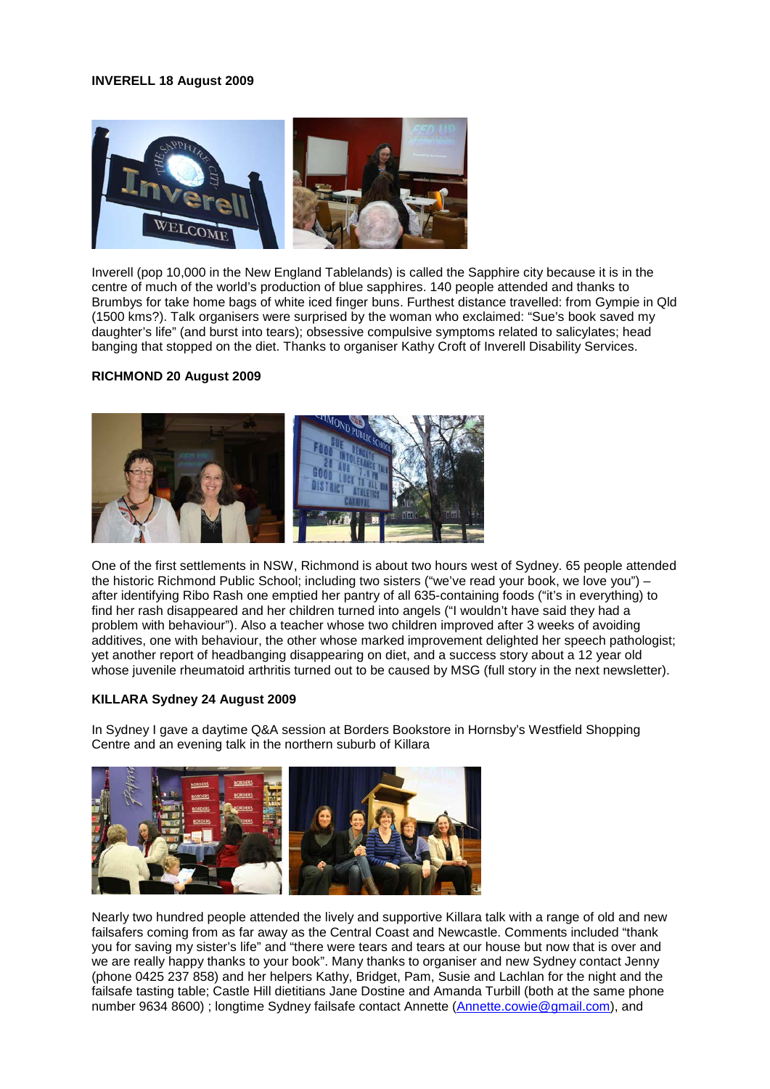### **INVERELL 18 August 2009**



Inverell (pop 10,000 in the New England Tablelands) is called the Sapphire city because it is in the centre of much of the world's production of blue sapphires. 140 people attended and thanks to Brumbys for take home bags of white iced finger buns. Furthest distance travelled: from Gympie in Qld (1500 kms?). Talk organisers were surprised by the woman who exclaimed: "Sue's book saved my daughter's life" (and burst into tears); obsessive compulsive symptoms related to salicylates; head banging that stopped on the diet. Thanks to organiser Kathy Croft of Inverell Disability Services.

## **RICHMOND 20 August 2009**



One of the first settlements in NSW, Richmond is about two hours west of Sydney. 65 people attended the historic Richmond Public School; including two sisters ("we've read your book, we love you") – after identifying Ribo Rash one emptied her pantry of all 635-containing foods ("it's in everything) to find her rash disappeared and her children turned into angels ("I wouldn't have said they had a problem with behaviour"). Also a teacher whose two children improved after 3 weeks of avoiding additives, one with behaviour, the other whose marked improvement delighted her speech pathologist; yet another report of headbanging disappearing on diet, and a success story about a 12 year old whose juvenile rheumatoid arthritis turned out to be caused by MSG (full story in the next newsletter).

### **KILLARA Sydney 24 August 2009**

In Sydney I gave a daytime Q&A session at Borders Bookstore in Hornsby's Westfield Shopping Centre and an evening talk in the northern suburb of Killara



Nearly two hundred people attended the lively and supportive Killara talk with a range of old and new failsafers coming from as far away as the Central Coast and Newcastle. Comments included "thank you for saving my sister's life" and "there were tears and tears at our house but now that is over and we are really happy thanks to your book". Many thanks to organiser and new Sydney contact Jenny (phone 0425 237 858) and her helpers Kathy, Bridget, Pam, Susie and Lachlan for the night and the failsafe tasting table; Castle Hill dietitians Jane Dostine and Amanda Turbill (both at the same phone number 9634 8600); longtime Sydney failsafe contact Annette [\(Annette.cowie@gmail.com\)](mailto:Annette.cowie@gmail.com), and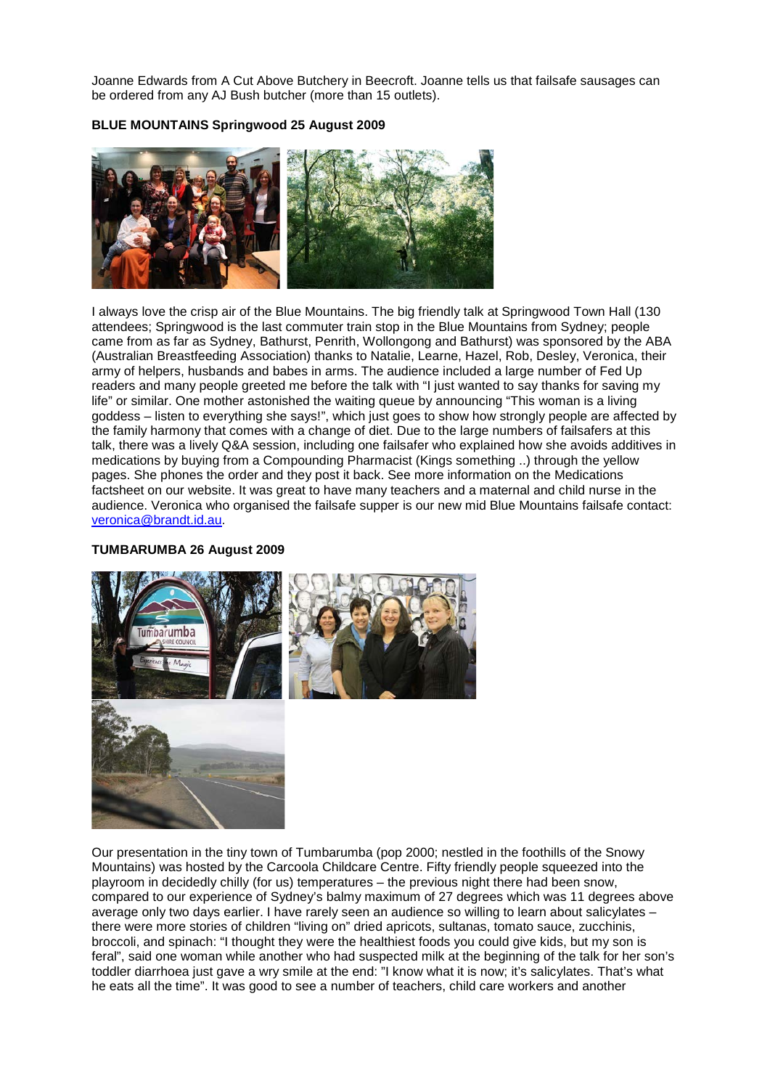Joanne Edwards from A Cut Above Butchery in Beecroft. Joanne tells us that failsafe sausages can be ordered from any AJ Bush butcher (more than 15 outlets).

# **BLUE MOUNTAINS Springwood 25 August 2009**



I always love the crisp air of the Blue Mountains. The big friendly talk at Springwood Town Hall (130 attendees; Springwood is the last commuter train stop in the Blue Mountains from Sydney; people came from as far as Sydney, Bathurst, Penrith, Wollongong and Bathurst) was sponsored by the ABA (Australian Breastfeeding Association) thanks to Natalie, Learne, Hazel, Rob, Desley, Veronica, their army of helpers, husbands and babes in arms. The audience included a large number of Fed Up readers and many people greeted me before the talk with "I just wanted to say thanks for saving my life" or similar. One mother astonished the waiting queue by announcing "This woman is a living goddess – listen to everything she says!", which just goes to show how strongly people are affected by the family harmony that comes with a change of diet. Due to the large numbers of failsafers at this talk, there was a lively Q&A session, including one failsafer who explained how she avoids additives in medications by buying from a Compounding Pharmacist (Kings something ..) through the yellow pages. She phones the order and they post it back. See more information on the Medications factsheet on our website. It was great to have many teachers and a maternal and child nurse in the audience. Veronica who organised the failsafe supper is our new mid Blue Mountains failsafe contact: [veronica@brandt.id.au.](mailto:veronica@brandt.id.au)

# **TUMBARUMBA 26 August 2009**



Our presentation in the tiny town of Tumbarumba (pop 2000; nestled in the foothills of the Snowy Mountains) was hosted by the Carcoola Childcare Centre. Fifty friendly people squeezed into the playroom in decidedly chilly (for us) temperatures – the previous night there had been snow, compared to our experience of Sydney's balmy maximum of 27 degrees which was 11 degrees above average only two days earlier. I have rarely seen an audience so willing to learn about salicylates – there were more stories of children "living on" dried apricots, sultanas, tomato sauce, zucchinis, broccoli, and spinach: "I thought they were the healthiest foods you could give kids, but my son is feral", said one woman while another who had suspected milk at the beginning of the talk for her son's toddler diarrhoea just gave a wry smile at the end: "I know what it is now; it's salicylates. That's what he eats all the time". It was good to see a number of teachers, child care workers and another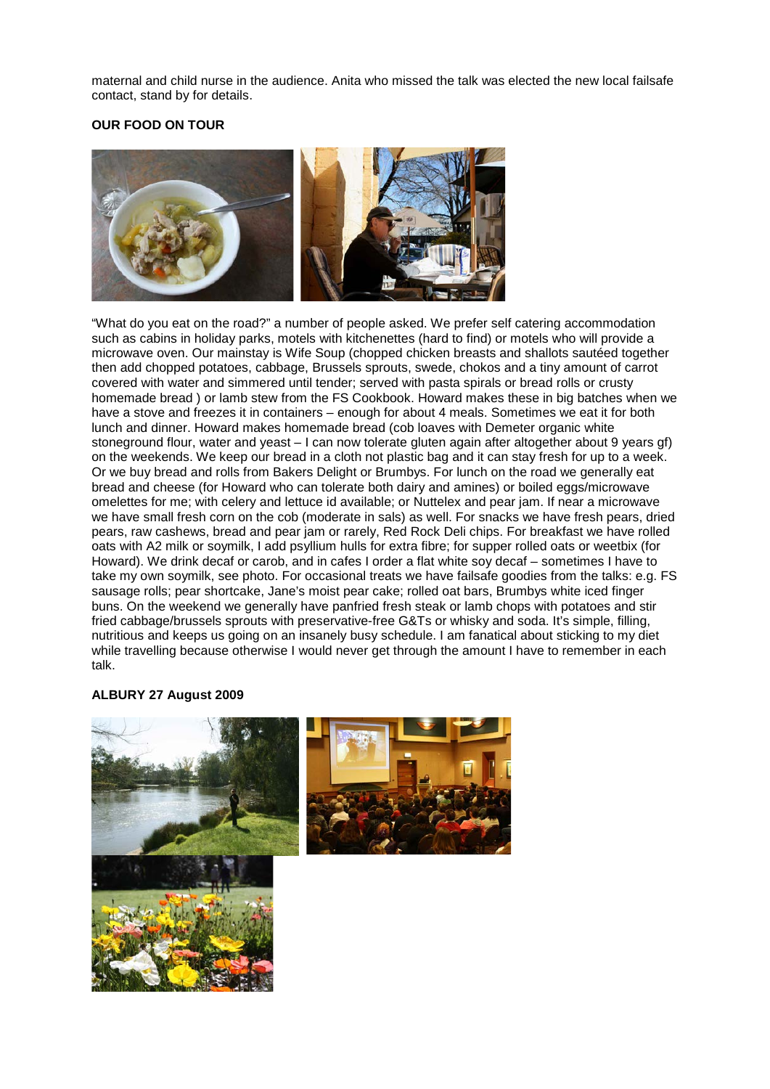maternal and child nurse in the audience. Anita who missed the talk was elected the new local failsafe contact, stand by for details.

# **OUR FOOD ON TOUR**



"What do you eat on the road?" a number of people asked. We prefer self catering accommodation such as cabins in holiday parks, motels with kitchenettes (hard to find) or motels who will provide a microwave oven. Our mainstay is Wife Soup (chopped chicken breasts and shallots sautéed together then add chopped potatoes, cabbage, Brussels sprouts, swede, chokos and a tiny amount of carrot covered with water and simmered until tender; served with pasta spirals or bread rolls or crusty homemade bread ) or lamb stew from the FS Cookbook. Howard makes these in big batches when we have a stove and freezes it in containers – enough for about 4 meals. Sometimes we eat it for both lunch and dinner. Howard makes homemade bread (cob loaves with Demeter organic white stoneground flour, water and yeast – I can now tolerate gluten again after altogether about 9 years gf) on the weekends. We keep our bread in a cloth not plastic bag and it can stay fresh for up to a week. Or we buy bread and rolls from Bakers Delight or Brumbys. For lunch on the road we generally eat bread and cheese (for Howard who can tolerate both dairy and amines) or boiled eggs/microwave omelettes for me; with celery and lettuce id available; or Nuttelex and pear jam. If near a microwave we have small fresh corn on the cob (moderate in sals) as well. For snacks we have fresh pears, dried pears, raw cashews, bread and pear jam or rarely, Red Rock Deli chips. For breakfast we have rolled oats with A2 milk or soymilk, I add psyllium hulls for extra fibre; for supper rolled oats or weetbix (for Howard). We drink decaf or carob, and in cafes I order a flat white soy decaf – sometimes I have to take my own soymilk, see photo. For occasional treats we have failsafe goodies from the talks: e.g. FS sausage rolls; pear shortcake, Jane's moist pear cake; rolled oat bars, Brumbys white iced finger buns. On the weekend we generally have panfried fresh steak or lamb chops with potatoes and stir fried cabbage/brussels sprouts with preservative-free G&Ts or whisky and soda. It's simple, filling, nutritious and keeps us going on an insanely busy schedule. I am fanatical about sticking to my diet while travelling because otherwise I would never get through the amount I have to remember in each talk.

# **ALBURY 27 August 2009**



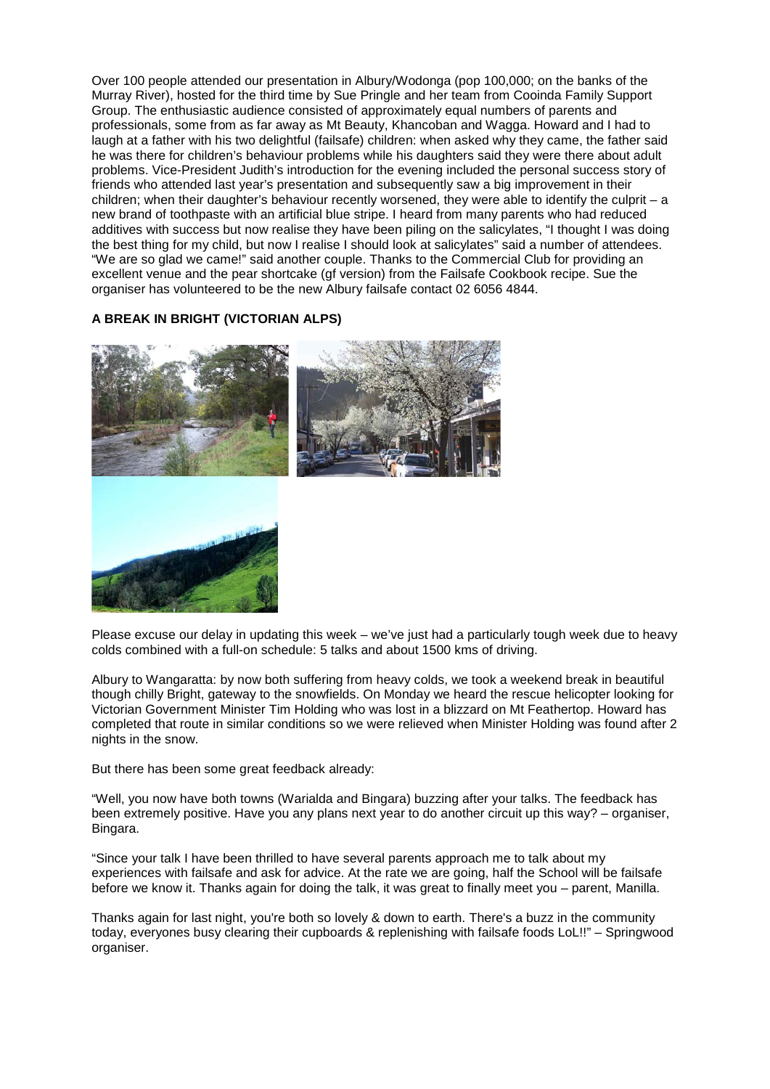Over 100 people attended our presentation in Albury/Wodonga (pop 100,000; on the banks of the Murray River), hosted for the third time by Sue Pringle and her team from Cooinda Family Support Group. The enthusiastic audience consisted of approximately equal numbers of parents and professionals, some from as far away as Mt Beauty, Khancoban and Wagga. Howard and I had to laugh at a father with his two delightful (failsafe) children: when asked why they came, the father said he was there for children's behaviour problems while his daughters said they were there about adult problems. Vice-President Judith's introduction for the evening included the personal success story of friends who attended last year's presentation and subsequently saw a big improvement in their children; when their daughter's behaviour recently worsened, they were able to identify the culprit – a new brand of toothpaste with an artificial blue stripe. I heard from many parents who had reduced additives with success but now realise they have been piling on the salicylates, "I thought I was doing the best thing for my child, but now I realise I should look at salicylates" said a number of attendees. "We are so glad we came!" said another couple. Thanks to the Commercial Club for providing an excellent venue and the pear shortcake (gf version) from the Failsafe Cookbook recipe. Sue the organiser has volunteered to be the new Albury failsafe contact 02 6056 4844.

# **A BREAK IN BRIGHT (VICTORIAN ALPS)**



Please excuse our delay in updating this week – we've just had a particularly tough week due to heavy colds combined with a full-on schedule: 5 talks and about 1500 kms of driving.

Albury to Wangaratta: by now both suffering from heavy colds, we took a weekend break in beautiful though chilly Bright, gateway to the snowfields. On Monday we heard the rescue helicopter looking for Victorian Government Minister Tim Holding who was lost in a blizzard on Mt Feathertop. Howard has completed that route in similar conditions so we were relieved when Minister Holding was found after 2 nights in the snow.

But there has been some great feedback already:

"Well, you now have both towns (Warialda and Bingara) buzzing after your talks. The feedback has been extremely positive. Have you any plans next year to do another circuit up this way? – organiser, Bingara.

"Since your talk I have been thrilled to have several parents approach me to talk about my experiences with failsafe and ask for advice. At the rate we are going, half the School will be failsafe before we know it. Thanks again for doing the talk, it was great to finally meet you – parent, Manilla.

Thanks again for last night, you're both so lovely & down to earth. There's a buzz in the community today, everyones busy clearing their cupboards & replenishing with failsafe foods LoL!!" – Springwood organiser.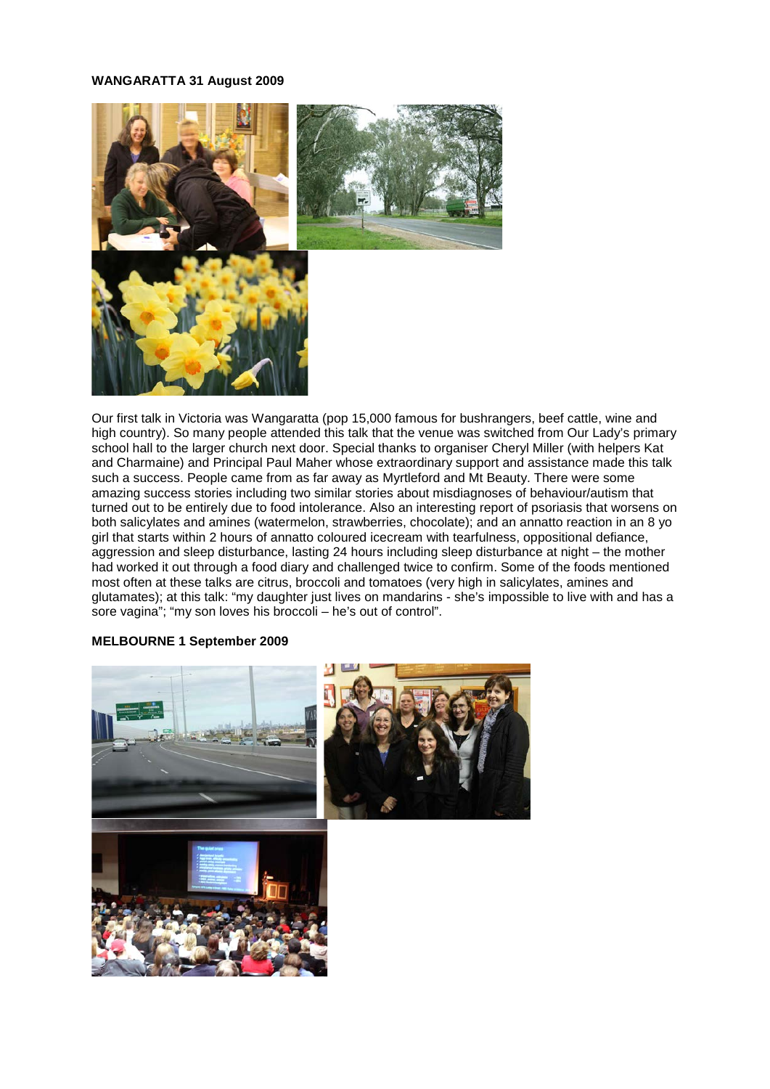## **WANGARATTA 31 August 2009**



Our first talk in Victoria was Wangaratta (pop 15,000 famous for bushrangers, beef cattle, wine and high country). So many people attended this talk that the venue was switched from Our Lady's primary school hall to the larger church next door. Special thanks to organiser Cheryl Miller (with helpers Kat and Charmaine) and Principal Paul Maher whose extraordinary support and assistance made this talk such a success. People came from as far away as Myrtleford and Mt Beauty. There were some amazing success stories including two similar stories about misdiagnoses of behaviour/autism that turned out to be entirely due to food intolerance. Also an interesting report of psoriasis that worsens on both salicylates and amines (watermelon, strawberries, chocolate); and an annatto reaction in an 8 yo girl that starts within 2 hours of annatto coloured icecream with tearfulness, oppositional defiance, aggression and sleep disturbance, lasting 24 hours including sleep disturbance at night – the mother had worked it out through a food diary and challenged twice to confirm. Some of the foods mentioned most often at these talks are citrus, broccoli and tomatoes (very high in salicylates, amines and glutamates); at this talk: "my daughter just lives on mandarins - she's impossible to live with and has a sore vagina"; "my son loves his broccoli – he's out of control".

#### **MELBOURNE 1 September 2009**

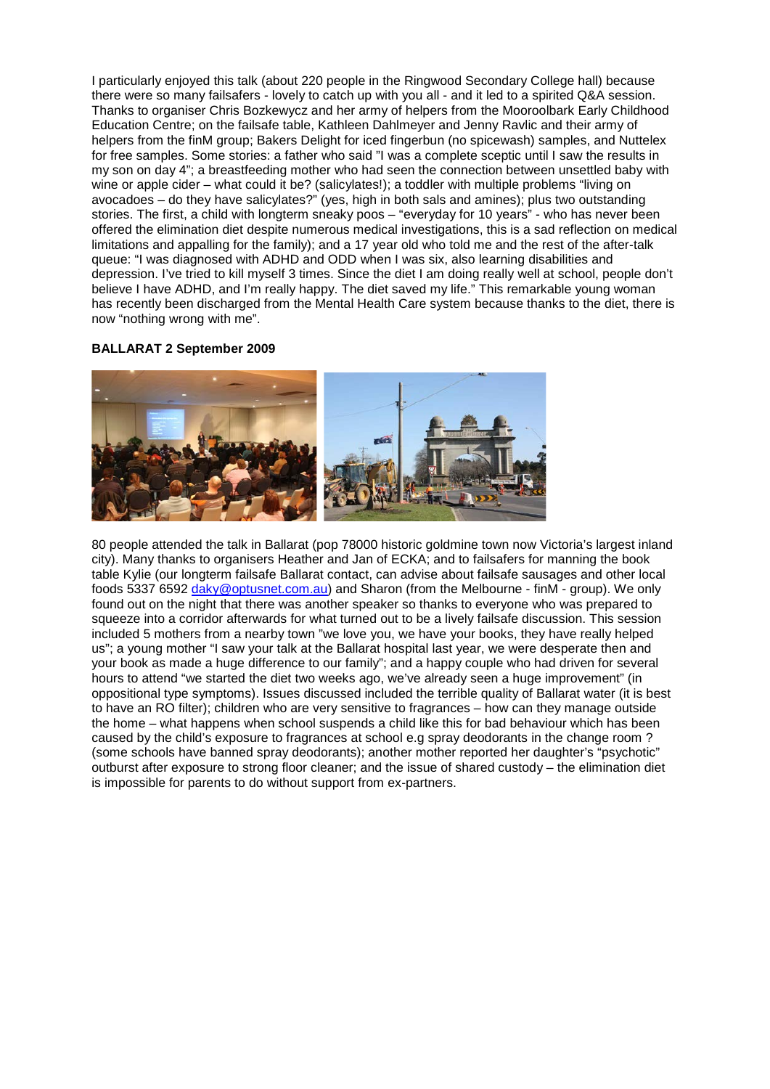I particularly enjoyed this talk (about 220 people in the Ringwood Secondary College hall) because there were so many failsafers - lovely to catch up with you all - and it led to a spirited Q&A session. Thanks to organiser Chris Bozkewycz and her army of helpers from the Mooroolbark Early Childhood Education Centre; on the failsafe table, Kathleen Dahlmeyer and Jenny Ravlic and their army of helpers from the finM group; Bakers Delight for iced fingerbun (no spicewash) samples, and Nuttelex for free samples. Some stories: a father who said "I was a complete sceptic until I saw the results in my son on day 4"; a breastfeeding mother who had seen the connection between unsettled baby with wine or apple cider – what could it be? (salicylates!); a toddler with multiple problems "living on avocadoes – do they have salicylates?" (yes, high in both sals and amines); plus two outstanding stories. The first, a child with longterm sneaky poos – "everyday for 10 years" - who has never been offered the elimination diet despite numerous medical investigations, this is a sad reflection on medical limitations and appalling for the family); and a 17 year old who told me and the rest of the after-talk queue: "I was diagnosed with ADHD and ODD when I was six, also learning disabilities and depression. I've tried to kill myself 3 times. Since the diet I am doing really well at school, people don't believe I have ADHD, and I'm really happy. The diet saved my life." This remarkable young woman has recently been discharged from the Mental Health Care system because thanks to the diet, there is now "nothing wrong with me".

# **BALLARAT 2 September 2009**



80 people attended the talk in Ballarat (pop 78000 historic goldmine town now Victoria's largest inland city). Many thanks to organisers Heather and Jan of ECKA; and to failsafers for manning the book table Kylie (our longterm failsafe Ballarat contact, can advise about failsafe sausages and other local foods 5337 6592 [daky@optusnet.com.au\)](mailto:daky@optusnet.com.au) and Sharon (from the Melbourne - finM - group). We only found out on the night that there was another speaker so thanks to everyone who was prepared to squeeze into a corridor afterwards for what turned out to be a lively failsafe discussion. This session included 5 mothers from a nearby town "we love you, we have your books, they have really helped us"; a young mother "I saw your talk at the Ballarat hospital last year, we were desperate then and your book as made a huge difference to our family"; and a happy couple who had driven for several hours to attend "we started the diet two weeks ago, we've already seen a huge improvement" (in oppositional type symptoms). Issues discussed included the terrible quality of Ballarat water (it is best to have an RO filter); children who are very sensitive to fragrances – how can they manage outside the home – what happens when school suspends a child like this for bad behaviour which has been caused by the child's exposure to fragrances at school e.g spray deodorants in the change room ? (some schools have banned spray deodorants); another mother reported her daughter's "psychotic" outburst after exposure to strong floor cleaner; and the issue of shared custody – the elimination diet is impossible for parents to do without support from ex-partners.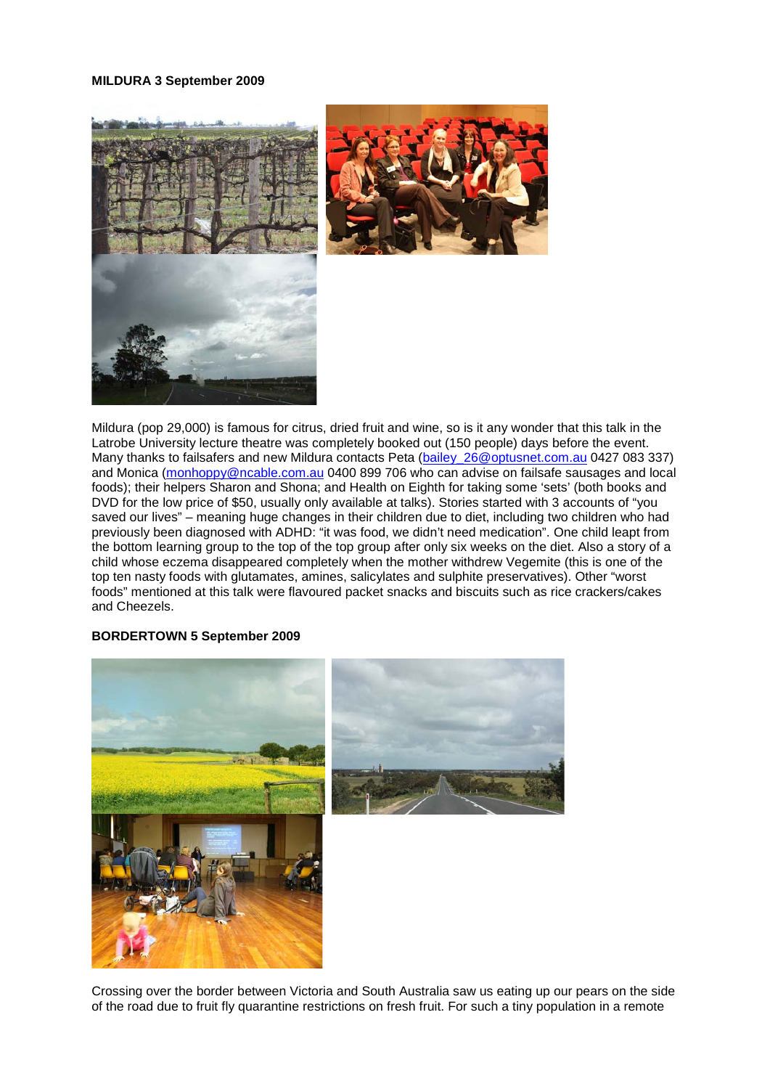#### **MILDURA 3 September 2009**



Mildura (pop 29,000) is famous for citrus, dried fruit and wine, so is it any wonder that this talk in the Latrobe University lecture theatre was completely booked out (150 people) days before the event. Many thanks to failsafers and new Mildura contacts Peta (bailey 26@optusnet.com.au 0427 083 337) and Monica [\(monhoppy@ncable.com.au](mailto:monhoppy@ncable.com.au) 0400 899 706 who can advise on failsafe sausages and local foods); their helpers Sharon and Shona; and Health on Eighth for taking some 'sets' (both books and DVD for the low price of \$50, usually only available at talks). Stories started with 3 accounts of "you saved our lives" – meaning huge changes in their children due to diet, including two children who had previously been diagnosed with ADHD: "it was food, we didn't need medication". One child leapt from the bottom learning group to the top of the top group after only six weeks on the diet. Also a story of a child whose eczema disappeared completely when the mother withdrew Vegemite (this is one of the top ten nasty foods with glutamates, amines, salicylates and sulphite preservatives). Other "worst foods" mentioned at this talk were flavoured packet snacks and biscuits such as rice crackers/cakes and Cheezels.

### **BORDERTOWN 5 September 2009**





Crossing over the border between Victoria and South Australia saw us eating up our pears on the side of the road due to fruit fly quarantine restrictions on fresh fruit. For such a tiny population in a remote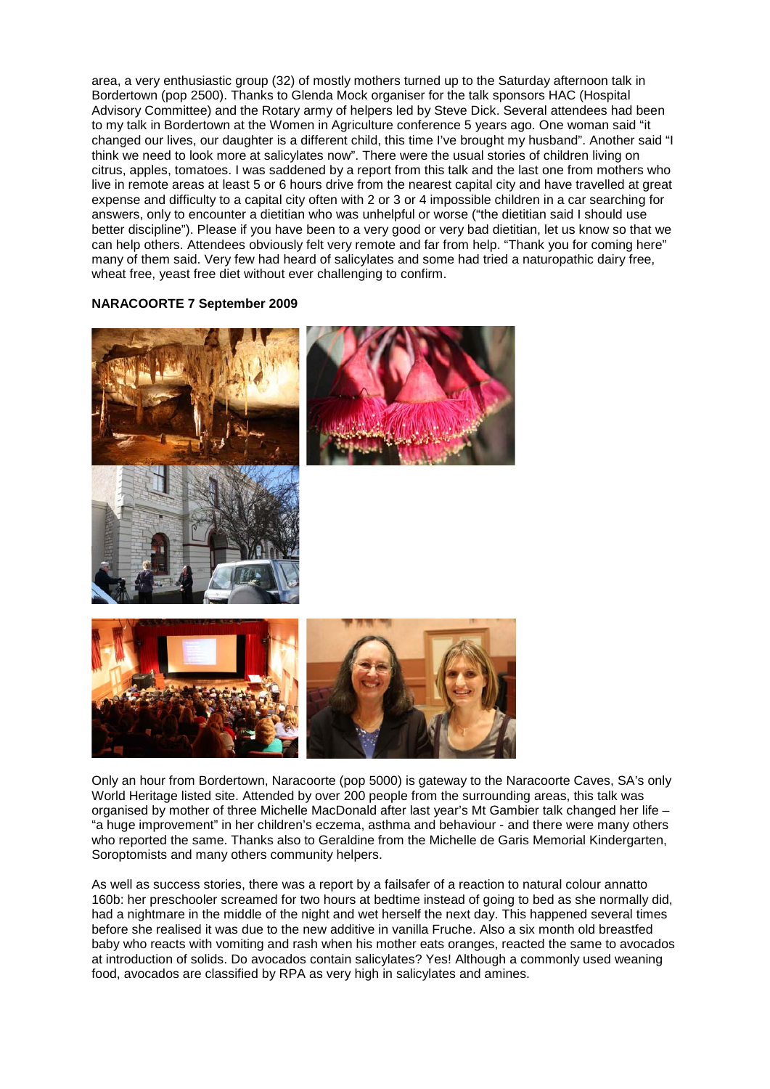area, a very enthusiastic group (32) of mostly mothers turned up to the Saturday afternoon talk in Bordertown (pop 2500). Thanks to Glenda Mock organiser for the talk sponsors HAC (Hospital Advisory Committee) and the Rotary army of helpers led by Steve Dick. Several attendees had been to my talk in Bordertown at the Women in Agriculture conference 5 years ago. One woman said "it changed our lives, our daughter is a different child, this time I've brought my husband". Another said "I think we need to look more at salicylates now". There were the usual stories of children living on citrus, apples, tomatoes. I was saddened by a report from this talk and the last one from mothers who live in remote areas at least 5 or 6 hours drive from the nearest capital city and have travelled at great expense and difficulty to a capital city often with 2 or 3 or 4 impossible children in a car searching for answers, only to encounter a dietitian who was unhelpful or worse ("the dietitian said I should use better discipline"). Please if you have been to a very good or very bad dietitian, let us know so that we can help others. Attendees obviously felt very remote and far from help. "Thank you for coming here" many of them said. Very few had heard of salicylates and some had tried a naturopathic dairy free, wheat free, yeast free diet without ever challenging to confirm.

# **NARACOORTE 7 September 2009**







Only an hour from Bordertown, Naracoorte (pop 5000) is gateway to the Naracoorte Caves, SA's only World Heritage listed site. Attended by over 200 people from the surrounding areas, this talk was organised by mother of three Michelle MacDonald after last year's Mt Gambier talk changed her life – "a huge improvement" in her children's eczema, asthma and behaviour - and there were many others who reported the same. Thanks also to Geraldine from the Michelle de Garis Memorial Kindergarten, Soroptomists and many others community helpers.

As well as success stories, there was a report by a failsafer of a reaction to natural colour annatto 160b: her preschooler screamed for two hours at bedtime instead of going to bed as she normally did, had a nightmare in the middle of the night and wet herself the next day. This happened several times before she realised it was due to the new additive in vanilla Fruche. Also a six month old breastfed baby who reacts with vomiting and rash when his mother eats oranges, reacted the same to avocados at introduction of solids. Do avocados contain salicylates? Yes! Although a commonly used weaning food, avocados are classified by RPA as very high in salicylates and amines.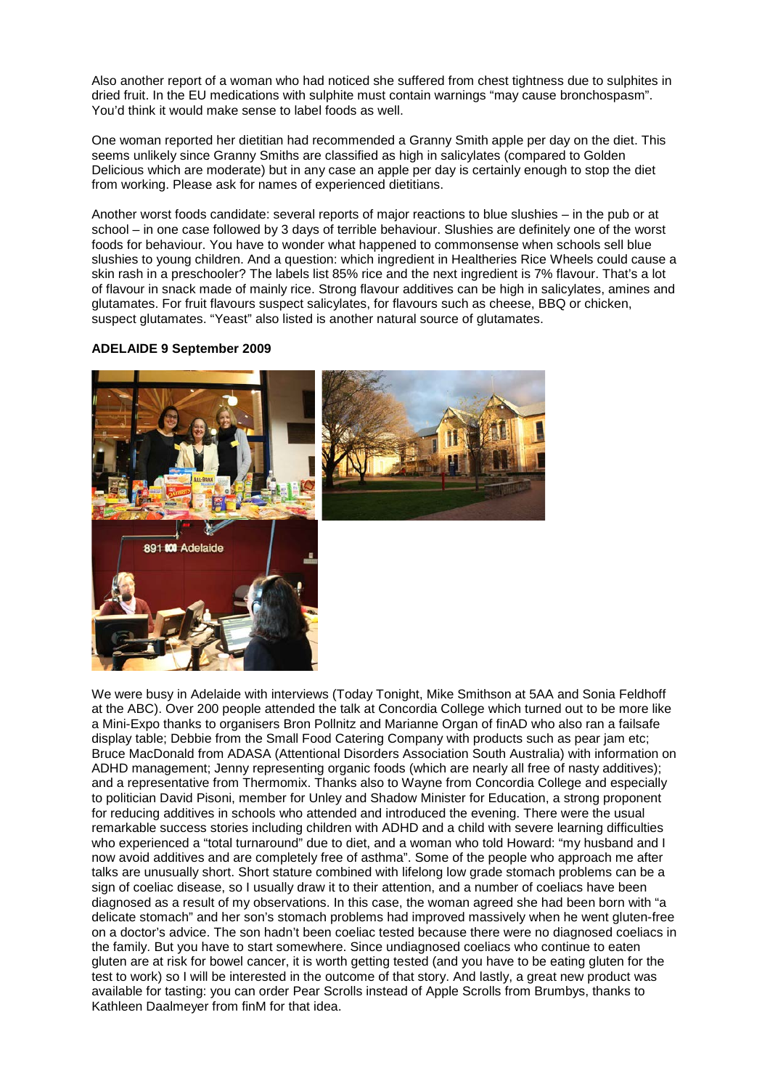Also another report of a woman who had noticed she suffered from chest tightness due to sulphites in dried fruit. In the EU medications with sulphite must contain warnings "may cause bronchospasm". You'd think it would make sense to label foods as well.

One woman reported her dietitian had recommended a Granny Smith apple per day on the diet. This seems unlikely since Granny Smiths are classified as high in salicylates (compared to Golden Delicious which are moderate) but in any case an apple per day is certainly enough to stop the diet from working. Please ask for names of experienced dietitians.

Another worst foods candidate: several reports of major reactions to blue slushies – in the pub or at school – in one case followed by 3 days of terrible behaviour. Slushies are definitely one of the worst foods for behaviour. You have to wonder what happened to commonsense when schools sell blue slushies to young children. And a question: which ingredient in Healtheries Rice Wheels could cause a skin rash in a preschooler? The labels list 85% rice and the next ingredient is 7% flavour. That's a lot of flavour in snack made of mainly rice. Strong flavour additives can be high in salicylates, amines and glutamates. For fruit flavours suspect salicylates, for flavours such as cheese, BBQ or chicken, suspect glutamates. "Yeast" also listed is another natural source of glutamates.

# **ADELAIDE 9 September 2009**



We were busy in Adelaide with interviews (Today Tonight, Mike Smithson at 5AA and Sonia Feldhoff at the ABC). Over 200 people attended the talk at Concordia College which turned out to be more like a Mini-Expo thanks to organisers Bron Pollnitz and Marianne Organ of finAD who also ran a failsafe display table; Debbie from the Small Food Catering Company with products such as pear jam etc; Bruce MacDonald from ADASA (Attentional Disorders Association South Australia) with information on ADHD management; Jenny representing organic foods (which are nearly all free of nasty additives); and a representative from Thermomix. Thanks also to Wayne from Concordia College and especially to politician David Pisoni, member for Unley and Shadow Minister for Education, a strong proponent for reducing additives in schools who attended and introduced the evening. There were the usual remarkable success stories including children with ADHD and a child with severe learning difficulties who experienced a "total turnaround" due to diet, and a woman who told Howard: "my husband and I now avoid additives and are completely free of asthma". Some of the people who approach me after talks are unusually short. Short stature combined with lifelong low grade stomach problems can be a sign of coeliac disease, so I usually draw it to their attention, and a number of coeliacs have been diagnosed as a result of my observations. In this case, the woman agreed she had been born with "a delicate stomach" and her son's stomach problems had improved massively when he went gluten-free on a doctor's advice. The son hadn't been coeliac tested because there were no diagnosed coeliacs in the family. But you have to start somewhere. Since undiagnosed coeliacs who continue to eaten gluten are at risk for bowel cancer, it is worth getting tested (and you have to be eating gluten for the test to work) so I will be interested in the outcome of that story. And lastly, a great new product was available for tasting: you can order Pear Scrolls instead of Apple Scrolls from Brumbys, thanks to Kathleen Daalmeyer from finM for that idea.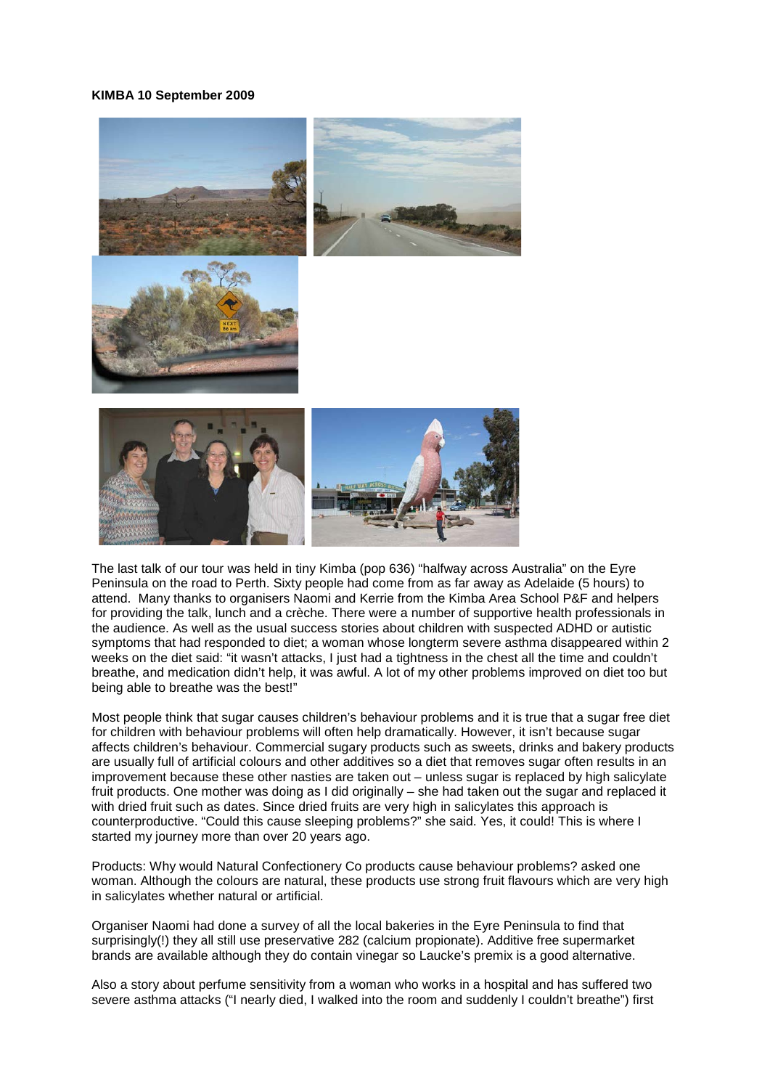### **KIMBA 10 September 2009**



The last talk of our tour was held in tiny Kimba (pop 636) "halfway across Australia" on the Eyre Peninsula on the road to Perth. Sixty people had come from as far away as Adelaide (5 hours) to attend. Many thanks to organisers Naomi and Kerrie from the Kimba Area School P&F and helpers for providing the talk, lunch and a crèche. There were a number of supportive health professionals in the audience. As well as the usual success stories about children with suspected ADHD or autistic symptoms that had responded to diet; a woman whose longterm severe asthma disappeared within 2 weeks on the diet said: "it wasn't attacks, I just had a tightness in the chest all the time and couldn't breathe, and medication didn't help, it was awful. A lot of my other problems improved on diet too but being able to breathe was the best!"

Most people think that sugar causes children's behaviour problems and it is true that a sugar free diet for children with behaviour problems will often help dramatically. However, it isn't because sugar affects children's behaviour. Commercial sugary products such as sweets, drinks and bakery products are usually full of artificial colours and other additives so a diet that removes sugar often results in an improvement because these other nasties are taken out – unless sugar is replaced by high salicylate fruit products. One mother was doing as I did originally – she had taken out the sugar and replaced it with dried fruit such as dates. Since dried fruits are very high in salicylates this approach is counterproductive. "Could this cause sleeping problems?" she said. Yes, it could! This is where I started my journey more than over 20 years ago.

Products: Why would Natural Confectionery Co products cause behaviour problems? asked one woman. Although the colours are natural, these products use strong fruit flavours which are very high in salicylates whether natural or artificial.

Organiser Naomi had done a survey of all the local bakeries in the Eyre Peninsula to find that surprisingly(!) they all still use preservative 282 (calcium propionate). Additive free supermarket brands are available although they do contain vinegar so Laucke's premix is a good alternative.

Also a story about perfume sensitivity from a woman who works in a hospital and has suffered two severe asthma attacks ("I nearly died, I walked into the room and suddenly I couldn't breathe") first